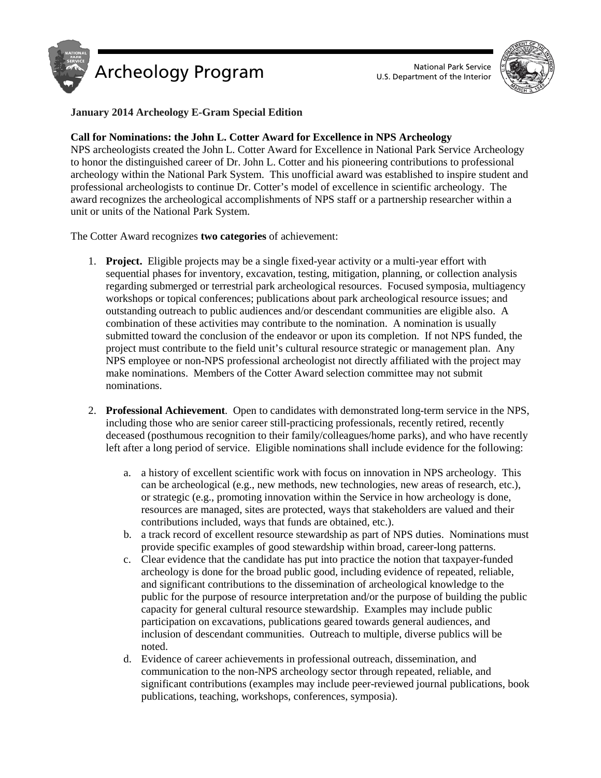



# **January 2014 Archeology E-Gram Special Edition**

## **Call for Nominations: the John L. Cotter Award for Excellence in NPS Archeology**

NPS archeologists created the John L. Cotter Award for Excellence in National Park Service Archeology to honor the distinguished career of Dr. John L. Cotter and his pioneering contributions to professional archeology within the National Park System. This unofficial award was established to inspire student and professional archeologists to continue Dr. Cotter's model of excellence in scientific archeology. The award recognizes the archeological accomplishments of NPS staff or a partnership researcher within a unit or units of the National Park System.

The Cotter Award recognizes **two categories** of achievement:

- 1. **Project.** Eligible projects may be a single fixed-year activity or a multi-year effort with sequential phases for inventory, excavation, testing, mitigation, planning, or collection analysis regarding submerged or terrestrial park archeological resources. Focused symposia, multiagency workshops or topical conferences; publications about park archeological resource issues; and outstanding outreach to public audiences and/or descendant communities are eligible also. A combination of these activities may contribute to the nomination. A nomination is usually submitted toward the conclusion of the endeavor or upon its completion. If not NPS funded, the project must contribute to the field unit's cultural resource strategic or management plan. Any NPS employee or non-NPS professional archeologist not directly affiliated with the project may make nominations. Members of the Cotter Award selection committee may not submit nominations.
- 2. **Professional Achievement**. Open to candidates with demonstrated long-term service in the NPS, including those who are senior career still-practicing professionals, recently retired, recently deceased (posthumous recognition to their family/colleagues/home parks), and who have recently left after a long period of service. Eligible nominations shall include evidence for the following:
	- a. a history of excellent scientific work with focus on innovation in NPS archeology. This can be archeological (e.g., new methods, new technologies, new areas of research, etc.), or strategic (e.g., promoting innovation within the Service in how archeology is done, resources are managed, sites are protected, ways that stakeholders are valued and their contributions included, ways that funds are obtained, etc.).
	- b. a track record of excellent resource stewardship as part of NPS duties. Nominations must provide specific examples of good stewardship within broad, career-long patterns.
	- c. Clear evidence that the candidate has put into practice the notion that taxpayer-funded archeology is done for the broad public good, including evidence of repeated, reliable, and significant contributions to the dissemination of archeological knowledge to the public for the purpose of resource interpretation and/or the purpose of building the public capacity for general cultural resource stewardship. Examples may include public participation on excavations, publications geared towards general audiences, and inclusion of descendant communities. Outreach to multiple, diverse publics will be noted.
	- d. Evidence of career achievements in professional outreach, dissemination, and communication to the non-NPS archeology sector through repeated, reliable, and significant contributions (examples may include peer-reviewed journal publications, book publications, teaching, workshops, conferences, symposia).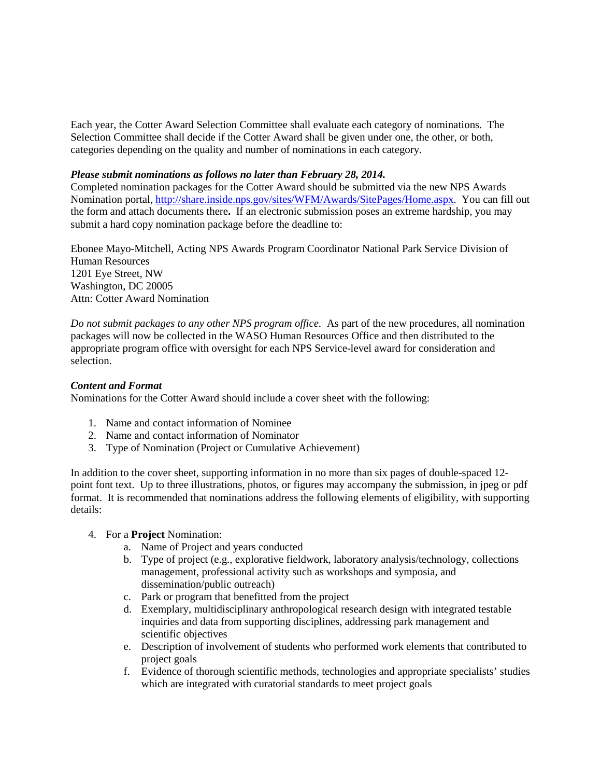Each year, the Cotter Award Selection Committee shall evaluate each category of nominations. The Selection Committee shall decide if the Cotter Award shall be given under one, the other, or both, categories depending on the quality and number of nominations in each category.

#### *Please submit nominations as follows no later than February 28, 2014.*

Completed nomination packages for the Cotter Award should be submitted via the new NPS Awards Nomination portal, [http://share.inside.nps.gov/sites/WFM/Awards/SitePages/Home.aspx.](http://share.inside.nps.gov/sites/WFM/Awards/SitePages/Home.aspx) You can fill out the form and attach documents there**.** If an electronic submission poses an extreme hardship, you may submit a hard copy nomination package before the deadline to:

Ebonee Mayo-Mitchell, Acting NPS Awards Program Coordinator National Park Service Division of Human Resources 1201 Eye Street, NW Washington, DC 20005 Attn: Cotter Award Nomination

*Do not submit packages to any other NPS program office.* As part of the new procedures, all nomination packages will now be collected in the WASO Human Resources Office and then distributed to the appropriate program office with oversight for each NPS Service-level award for consideration and selection.

### *Content and Format*

Nominations for the Cotter Award should include a cover sheet with the following:

- 1. Name and contact information of Nominee
- 2. Name and contact information of Nominator
- 3. Type of Nomination (Project or Cumulative Achievement)

In addition to the cover sheet, supporting information in no more than six pages of double-spaced 12 point font text. Up to three illustrations, photos, or figures may accompany the submission, in jpeg or pdf format. It is recommended that nominations address the following elements of eligibility, with supporting details:

- 4. For a **Project** Nomination:
	- a. Name of Project and years conducted
	- b. Type of project (e.g., explorative fieldwork, laboratory analysis/technology, collections management, professional activity such as workshops and symposia, and dissemination/public outreach)
	- c. Park or program that benefitted from the project
	- d. Exemplary, multidisciplinary anthropological research design with integrated testable inquiries and data from supporting disciplines, addressing park management and scientific objectives
	- e. Description of involvement of students who performed work elements that contributed to project goals
	- f. Evidence of thorough scientific methods, technologies and appropriate specialists' studies which are integrated with curatorial standards to meet project goals